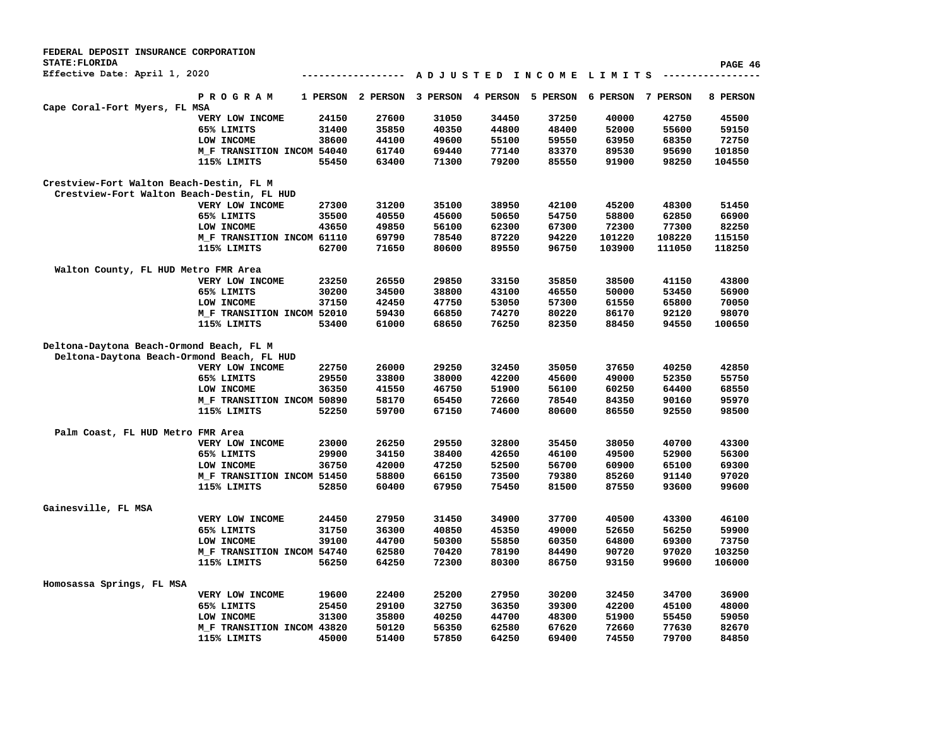| FEDERAL DEPOSIT INSURANCE CORPORATION      |                            |          |               |          |          |                             |          |          |          |
|--------------------------------------------|----------------------------|----------|---------------|----------|----------|-----------------------------|----------|----------|----------|
| <b>STATE: FLORIDA</b>                      |                            |          |               |          |          |                             |          |          | PAGE 46  |
| Effective Date: April 1, 2020              |                            |          | ------------- |          |          | A D J U S T E D I N C O M E | LIMITS   |          |          |
|                                            | <b>PROGRAM</b>             | 1 PERSON | 2 PERSON      | 3 PERSON | 4 PERSON | 5 PERSON                    | 6 PERSON | 7 PERSON | 8 PERSON |
| Cape Coral-Fort Myers, FL MSA              |                            |          |               |          |          |                             |          |          |          |
|                                            | VERY LOW INCOME            | 24150    | 27600         | 31050    | 34450    | 37250                       | 40000    | 42750    | 45500    |
|                                            | 65% LIMITS                 | 31400    | 35850         | 40350    | 44800    | 48400                       | 52000    | 55600    | 59150    |
|                                            | LOW INCOME                 | 38600    | 44100         | 49600    | 55100    | 59550                       | 63950    | 68350    | 72750    |
|                                            | M_F TRANSITION INCOM 54040 |          | 61740         | 69440    | 77140    | 83370                       | 89530    | 95690    | 101850   |
|                                            | 115% LIMITS                | 55450    | 63400         | 71300    | 79200    | 85550                       | 91900    | 98250    | 104550   |
| Crestview-Fort Walton Beach-Destin, FL M   |                            |          |               |          |          |                             |          |          |          |
| Crestview-Fort Walton Beach-Destin, FL HUD |                            |          |               |          |          |                             |          |          |          |
|                                            | VERY LOW INCOME            | 27300    | 31200         | 35100    | 38950    | 42100                       | 45200    | 48300    | 51450    |
|                                            | 65% LIMITS                 | 35500    | 40550         | 45600    | 50650    | 54750                       | 58800    | 62850    | 66900    |
|                                            | LOW INCOME                 | 43650    | 49850         | 56100    | 62300    | 67300                       | 72300    | 77300    | 82250    |
|                                            | M_F TRANSITION INCOM 61110 |          | 69790         | 78540    | 87220    | 94220                       | 101220   | 108220   | 115150   |
|                                            | 115% LIMITS                | 62700    | 71650         | 80600    | 89550    | 96750                       | 103900   | 111050   | 118250   |
| Walton County, FL HUD Metro FMR Area       |                            |          |               |          |          |                             |          |          |          |
|                                            | VERY LOW INCOME            | 23250    | 26550         | 29850    | 33150    | 35850                       | 38500    | 41150    | 43800    |
|                                            | 65% LIMITS                 | 30200    | 34500         | 38800    | 43100    | 46550                       | 50000    | 53450    | 56900    |
|                                            | LOW INCOME                 | 37150    | 42450         | 47750    | 53050    | 57300                       | 61550    | 65800    | 70050    |
|                                            | M_F TRANSITION INCOM 52010 |          | 59430         | 66850    | 74270    | 80220                       | 86170    | 92120    | 98070    |
|                                            | 115% LIMITS                | 53400    | 61000         | 68650    | 76250    | 82350                       | 88450    | 94550    | 100650   |
|                                            |                            |          |               |          |          |                             |          |          |          |
| Deltona-Daytona Beach-Ormond Beach, FL M   |                            |          |               |          |          |                             |          |          |          |
| Deltona-Daytona Beach-Ormond Beach, FL HUD |                            |          |               |          |          |                             |          |          |          |
|                                            | VERY LOW INCOME            | 22750    | 26000         | 29250    | 32450    | 35050                       | 37650    | 40250    | 42850    |
|                                            | 65% LIMITS                 | 29550    | 33800         | 38000    | 42200    | 45600                       | 49000    | 52350    | 55750    |
|                                            | LOW INCOME                 | 36350    | 41550         | 46750    | 51900    | 56100                       | 60250    | 64400    | 68550    |
|                                            | M_F TRANSITION INCOM 50890 |          | 58170         | 65450    | 72660    | 78540                       | 84350    | 90160    | 95970    |
|                                            | 115% LIMITS                | 52250    | 59700         | 67150    | 74600    | 80600                       | 86550    | 92550    | 98500    |
| Palm Coast, FL HUD Metro FMR Area          |                            |          |               |          |          |                             |          |          |          |
|                                            | VERY LOW INCOME            | 23000    | 26250         | 29550    | 32800    | 35450                       | 38050    | 40700    | 43300    |
|                                            | 65% LIMITS                 | 29900    | 34150         | 38400    | 42650    | 46100                       | 49500    | 52900    | 56300    |
|                                            | LOW INCOME                 | 36750    | 42000         | 47250    | 52500    | 56700                       | 60900    | 65100    | 69300    |
|                                            | M_F TRANSITION INCOM 51450 |          | 58800         | 66150    | 73500    | 79380                       | 85260    | 91140    | 97020    |
|                                            | 115% LIMITS                | 52850    | 60400         | 67950    | 75450    | 81500                       | 87550    | 93600    | 99600    |
| Gainesville, FL MSA                        |                            |          |               |          |          |                             |          |          |          |
|                                            | VERY LOW INCOME            | 24450    | 27950         | 31450    | 34900    | 37700                       | 40500    | 43300    | 46100    |
|                                            | 65% LIMITS                 | 31750    | 36300         | 40850    | 45350    | 49000                       | 52650    | 56250    | 59900    |
|                                            | LOW INCOME                 | 39100    | 44700         | 50300    | 55850    | 60350                       | 64800    | 69300    | 73750    |
|                                            |                            |          | 62580         |          |          |                             |          | 97020    | 103250   |
|                                            | M_F TRANSITION INCOM 54740 |          |               | 70420    | 78190    | 84490                       | 90720    |          |          |
|                                            | 115% LIMITS                | 56250    | 64250         | 72300    | 80300    | 86750                       | 93150    | 99600    | 106000   |
| Homosassa Springs, FL MSA                  |                            |          |               |          |          |                             |          |          |          |
|                                            | VERY LOW INCOME            | 19600    | 22400         | 25200    | 27950    | 30200                       | 32450    | 34700    | 36900    |
|                                            | 65% LIMITS                 | 25450    | 29100         | 32750    | 36350    | 39300                       | 42200    | 45100    | 48000    |
|                                            | LOW INCOME                 | 31300    | 35800         | 40250    | 44700    | 48300                       | 51900    | 55450    | 59050    |
|                                            | M_F TRANSITION INCOM 43820 |          | 50120         | 56350    | 62580    | 67620                       | 72660    | 77630    | 82670    |
|                                            | 115% LIMITS                | 45000    | 51400         | 57850    | 64250    | 69400                       | 74550    | 79700    | 84850    |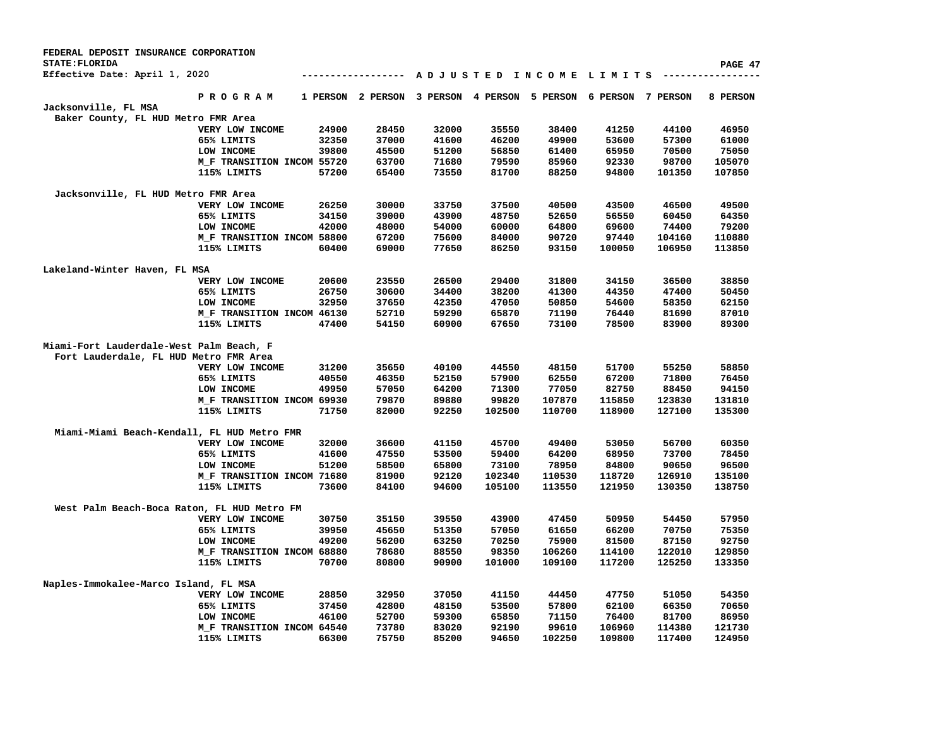| FEDERAL DEPOSIT INSURANCE CORPORATION<br><b>STATE: FLORIDA</b> |                            |       |                   |                            |        |        |                                         |          | PAGE 47  |
|----------------------------------------------------------------|----------------------------|-------|-------------------|----------------------------|--------|--------|-----------------------------------------|----------|----------|
| Effective Date: April 1, 2020                                  |                            |       |                   |                            |        |        | A D J U S T E D I N C O M E L I M I T S | -------- |          |
|                                                                | <b>PROGRAM</b>             |       | 1 PERSON 2 PERSON | 3 PERSON 4 PERSON 5 PERSON |        |        | 6 PERSON                                | 7 PERSON | 8 PERSON |
| Jacksonville, FL MSA                                           |                            |       |                   |                            |        |        |                                         |          |          |
| Baker County, FL HUD Metro FMR Area                            |                            |       |                   |                            |        |        |                                         |          |          |
|                                                                | VERY LOW INCOME            | 24900 | 28450             | 32000                      | 35550  | 38400  | 41250                                   | 44100    | 46950    |
|                                                                | 65% LIMITS                 | 32350 | 37000             | 41600                      | 46200  | 49900  | 53600                                   | 57300    | 61000    |
|                                                                | LOW INCOME                 | 39800 | 45500             | 51200                      | 56850  | 61400  | 65950                                   | 70500    | 75050    |
|                                                                | M_F TRANSITION INCOM 55720 |       | 63700             | 71680                      | 79590  | 85960  | 92330                                   | 98700    | 105070   |
|                                                                | 115% LIMITS                | 57200 | 65400             | 73550                      | 81700  | 88250  | 94800                                   | 101350   | 107850   |
| Jacksonville, FL HUD Metro FMR Area                            |                            |       |                   |                            |        |        |                                         |          |          |
|                                                                | VERY LOW INCOME            | 26250 | 30000             | 33750                      | 37500  | 40500  | 43500                                   | 46500    | 49500    |
|                                                                | 65% LIMITS                 | 34150 | 39000             | 43900                      | 48750  | 52650  | 56550                                   | 60450    | 64350    |
|                                                                | LOW INCOME                 | 42000 | 48000             | 54000                      | 60000  | 64800  | 69600                                   | 74400    | 79200    |
|                                                                | M_F TRANSITION INCOM 58800 |       | 67200             | 75600                      | 84000  | 90720  | 97440                                   | 104160   | 110880   |
|                                                                | 115% LIMITS                | 60400 | 69000             | 77650                      | 86250  | 93150  | 100050                                  | 106950   | 113850   |
| Lakeland-Winter Haven, FL MSA                                  |                            |       |                   |                            |        |        |                                         |          |          |
|                                                                | VERY LOW INCOME            | 20600 | 23550             | 26500                      | 29400  | 31800  | 34150                                   | 36500    | 38850    |
|                                                                | 65% LIMITS                 | 26750 | 30600             | 34400                      | 38200  | 41300  | 44350                                   | 47400    | 50450    |
|                                                                | LOW INCOME                 | 32950 | 37650             | 42350                      | 47050  | 50850  | 54600                                   | 58350    | 62150    |
|                                                                | M_F TRANSITION INCOM 46130 |       | 52710             | 59290                      | 65870  | 71190  | 76440                                   | 81690    | 87010    |
|                                                                | 115% LIMITS                | 47400 | 54150             | 60900                      | 67650  | 73100  | 78500                                   | 83900    | 89300    |
| Miami-Fort Lauderdale-West Palm Beach, F                       |                            |       |                   |                            |        |        |                                         |          |          |
| Fort Lauderdale, FL HUD Metro FMR Area                         |                            |       |                   |                            |        |        |                                         |          |          |
|                                                                | VERY LOW INCOME            | 31200 | 35650             | 40100                      | 44550  | 48150  | 51700                                   | 55250    | 58850    |
|                                                                | 65% LIMITS                 | 40550 | 46350             | 52150                      | 57900  | 62550  | 67200                                   | 71800    | 76450    |
|                                                                | LOW INCOME                 | 49950 | 57050             | 64200                      | 71300  | 77050  | 82750                                   | 88450    | 94150    |
|                                                                | M F TRANSITION INCOM 69930 |       | 79870             | 89880                      | 99820  | 107870 | 115850                                  | 123830   | 131810   |
|                                                                | 115% LIMITS                | 71750 | 82000             | 92250                      | 102500 | 110700 | 118900                                  | 127100   | 135300   |
| Miami-Miami Beach-Kendall, FL HUD Metro FMR                    |                            |       |                   |                            |        |        |                                         |          |          |
|                                                                | VERY LOW INCOME            | 32000 | 36600             | 41150                      | 45700  | 49400  | 53050                                   | 56700    | 60350    |
|                                                                | 65% LIMITS                 | 41600 | 47550             | 53500                      | 59400  | 64200  | 68950                                   | 73700    | 78450    |
|                                                                | LOW INCOME                 | 51200 | 58500             | 65800                      | 73100  | 78950  | 84800                                   | 90650    | 96500    |
|                                                                | M_F TRANSITION INCOM 71680 |       | 81900             | 92120                      | 102340 | 110530 | 118720                                  | 126910   | 135100   |
|                                                                | 115% LIMITS                | 73600 | 84100             | 94600                      | 105100 | 113550 | 121950                                  | 130350   | 138750   |
| West Palm Beach-Boca Raton, FL HUD Metro FM                    |                            |       |                   |                            |        |        |                                         |          |          |
|                                                                | VERY LOW INCOME            | 30750 | 35150             | 39550                      | 43900  | 47450  | 50950                                   | 54450    | 57950    |
|                                                                | 65% LIMITS                 | 39950 | 45650             | 51350                      | 57050  | 61650  | 66200                                   | 70750    | 75350    |
|                                                                | LOW INCOME                 | 49200 | 56200             | 63250                      | 70250  | 75900  | 81500                                   | 87150    | 92750    |
|                                                                | M_F TRANSITION INCOM 68880 |       | 78680             | 88550                      | 98350  | 106260 | 114100                                  | 122010   | 129850   |
|                                                                | 115% LIMITS                | 70700 | 80800             | 90900                      | 101000 | 109100 | 117200                                  | 125250   | 133350   |
| Naples-Immokalee-Marco Island, FL MSA                          |                            |       |                   |                            |        |        |                                         |          |          |
|                                                                | VERY LOW INCOME            | 28850 | 32950             | 37050                      | 41150  | 44450  | 47750                                   | 51050    | 54350    |
|                                                                | 65% LIMITS                 | 37450 | 42800             | 48150                      | 53500  | 57800  | 62100                                   | 66350    | 70650    |
|                                                                | LOW INCOME                 | 46100 | 52700             | 59300                      | 65850  | 71150  | 76400                                   | 81700    | 86950    |
|                                                                | M_F TRANSITION INCOM 64540 |       | 73780             | 83020                      | 92190  | 99610  | 106960                                  | 114380   | 121730   |
|                                                                | 115% LIMITS                | 66300 | 75750             | 85200                      | 94650  | 102250 | 109800                                  | 117400   | 124950   |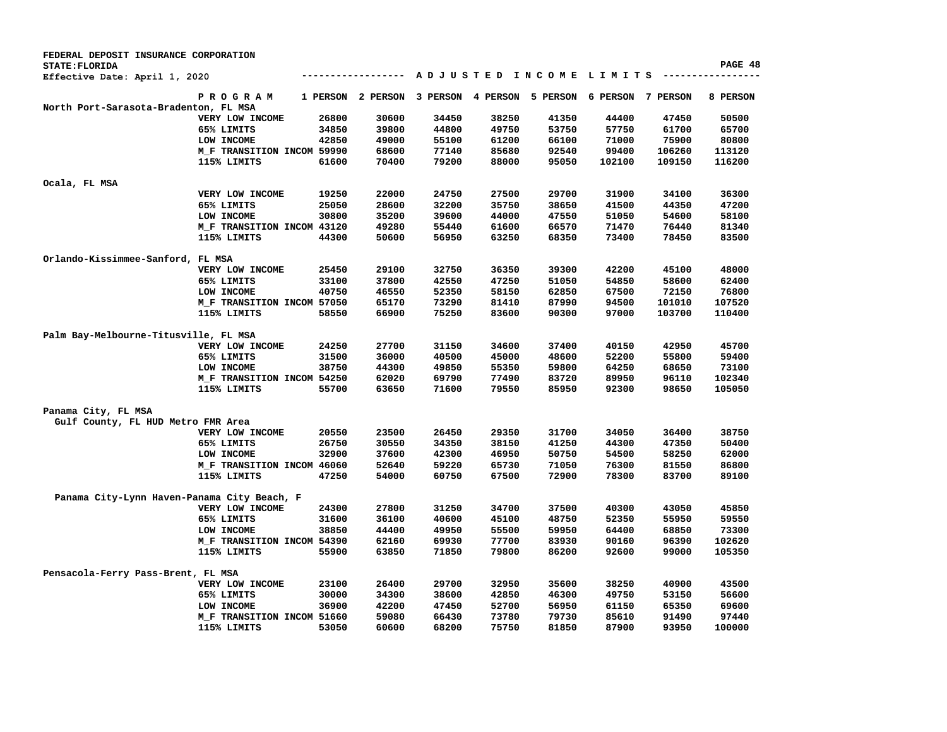| FEDERAL DEPOSIT INSURANCE CORPORATION       |                            |          |                 |          |                        |          |                   |        |          |
|---------------------------------------------|----------------------------|----------|-----------------|----------|------------------------|----------|-------------------|--------|----------|
| STATE: FLORIDA                              |                            |          |                 |          |                        |          |                   |        | PAGE 48  |
| Effective Date: April 1, 2020               |                            |          |                 |          | ADJUSTED INCOME LIMITS |          |                   |        |          |
|                                             | PROGRAM                    | 1 PERSON | <b>2 PERSON</b> | 3 PERSON | 4 PERSON               | 5 PERSON | 6 PERSON 7 PERSON |        | 8 PERSON |
| North Port-Sarasota-Bradenton, FL MSA       |                            |          |                 |          |                        |          |                   |        |          |
|                                             | VERY LOW INCOME            | 26800    | 30600           | 34450    | 38250                  | 41350    | 44400             | 47450  | 50500    |
|                                             | 65% LIMITS                 | 34850    | 39800           | 44800    | 49750                  | 53750    | 57750             | 61700  | 65700    |
|                                             | LOW INCOME                 | 42850    | 49000           | 55100    | 61200                  | 66100    | 71000             | 75900  | 80800    |
|                                             | M_F TRANSITION INCOM 59990 |          | 68600           | 77140    | 85680                  | 92540    | 99400             | 106260 | 113120   |
|                                             | 115% LIMITS                | 61600    | 70400           | 79200    | 88000                  | 95050    | 102100            | 109150 | 116200   |
| Ocala, FL MSA                               |                            |          |                 |          |                        |          |                   |        |          |
|                                             | VERY LOW INCOME            | 19250    | 22000           | 24750    | 27500                  | 29700    | 31900             | 34100  | 36300    |
|                                             | 65% LIMITS                 | 25050    | 28600           | 32200    | 35750                  | 38650    | 41500             | 44350  | 47200    |
|                                             | LOW INCOME                 | 30800    | 35200           | 39600    | 44000                  | 47550    | 51050             | 54600  | 58100    |
|                                             | M_F TRANSITION INCOM 43120 |          | 49280           | 55440    | 61600                  | 66570    | 71470             | 76440  | 81340    |
|                                             | 115% LIMITS                | 44300    | 50600           | 56950    | 63250                  | 68350    | 73400             | 78450  | 83500    |
|                                             |                            |          |                 |          |                        |          |                   |        |          |
| Orlando-Kissimmee-Sanford, FL MSA           |                            |          |                 |          |                        |          |                   |        |          |
|                                             | VERY LOW INCOME            | 25450    | 29100           | 32750    | 36350                  | 39300    | 42200             | 45100  | 48000    |
|                                             | 65% LIMITS                 | 33100    | 37800           | 42550    | 47250                  | 51050    | 54850             | 58600  | 62400    |
|                                             | LOW INCOME                 | 40750    | 46550           | 52350    | 58150                  | 62850    | 67500             | 72150  | 76800    |
|                                             | M_F TRANSITION INCOM 57050 |          | 65170           | 73290    | 81410                  | 87990    | 94500             | 101010 | 107520   |
|                                             | 115% LIMITS                | 58550    | 66900           | 75250    | 83600                  | 90300    | 97000             | 103700 | 110400   |
| Palm Bay-Melbourne-Titusville, FL MSA       |                            |          |                 |          |                        |          |                   |        |          |
|                                             | VERY LOW INCOME            | 24250    | 27700           | 31150    | 34600                  | 37400    | 40150             | 42950  | 45700    |
|                                             | 65% LIMITS                 | 31500    | 36000           | 40500    | 45000                  | 48600    | 52200             | 55800  | 59400    |
|                                             | LOW INCOME                 | 38750    | 44300           | 49850    | 55350                  | 59800    | 64250             | 68650  | 73100    |
|                                             | M_F TRANSITION INCOM 54250 |          | 62020           | 69790    | 77490                  | 83720    | 89950             | 96110  | 102340   |
|                                             |                            | 55700    | 63650           | 71600    | 79550                  | 85950    | 92300             | 98650  | 105050   |
|                                             | 115% LIMITS                |          |                 |          |                        |          |                   |        |          |
| Panama City, FL MSA                         |                            |          |                 |          |                        |          |                   |        |          |
| Gulf County, FL HUD Metro FMR Area          |                            |          |                 |          |                        |          |                   |        |          |
|                                             | VERY LOW INCOME            | 20550    | 23500           | 26450    | 29350                  | 31700    | 34050             | 36400  | 38750    |
|                                             | 65% LIMITS                 | 26750    | 30550           | 34350    | 38150                  | 41250    | 44300             | 47350  | 50400    |
|                                             | LOW INCOME                 | 32900    | 37600           | 42300    | 46950                  | 50750    | 54500             | 58250  | 62000    |
|                                             | M_F TRANSITION INCOM 46060 |          | 52640           | 59220    | 65730                  | 71050    | 76300             | 81550  | 86800    |
|                                             | 115% LIMITS                | 47250    | 54000           | 60750    | 67500                  | 72900    | 78300             | 83700  | 89100    |
| Panama City-Lynn Haven-Panama City Beach, F |                            |          |                 |          |                        |          |                   |        |          |
|                                             | VERY LOW INCOME            | 24300    | 27800           | 31250    | 34700                  | 37500    | 40300             | 43050  | 45850    |
|                                             | 65% LIMITS                 | 31600    | 36100           | 40600    | 45100                  | 48750    | 52350             | 55950  | 59550    |
|                                             |                            | 38850    | 44400           | 49950    | 55500                  | 59950    | 64400             | 68850  | 73300    |
|                                             | LOW INCOME                 |          |                 |          |                        |          |                   |        |          |
|                                             | M_F TRANSITION INCOM 54390 |          | 62160           | 69930    | 77700                  | 83930    | 90160             | 96390  | 102620   |
|                                             | 115% LIMITS                | 55900    | 63850           | 71850    | 79800                  | 86200    | 92600             | 99000  | 105350   |
| Pensacola-Ferry Pass-Brent, FL MSA          |                            |          |                 |          |                        |          |                   |        |          |
|                                             | VERY LOW INCOME            | 23100    | 26400           | 29700    | 32950                  | 35600    | 38250             | 40900  | 43500    |
|                                             | 65% LIMITS                 | 30000    | 34300           | 38600    | 42850                  | 46300    | 49750             | 53150  | 56600    |
|                                             | LOW INCOME                 | 36900    | 42200           | 47450    | 52700                  | 56950    | 61150             | 65350  | 69600    |
|                                             | M_F TRANSITION INCOM 51660 |          | 59080           | 66430    | 73780                  | 79730    | 85610             | 91490  | 97440    |
|                                             | 115% LIMITS                | 53050    | 60600           | 68200    | 75750                  | 81850    | 87900             | 93950  | 100000   |
|                                             |                            |          |                 |          |                        |          |                   |        |          |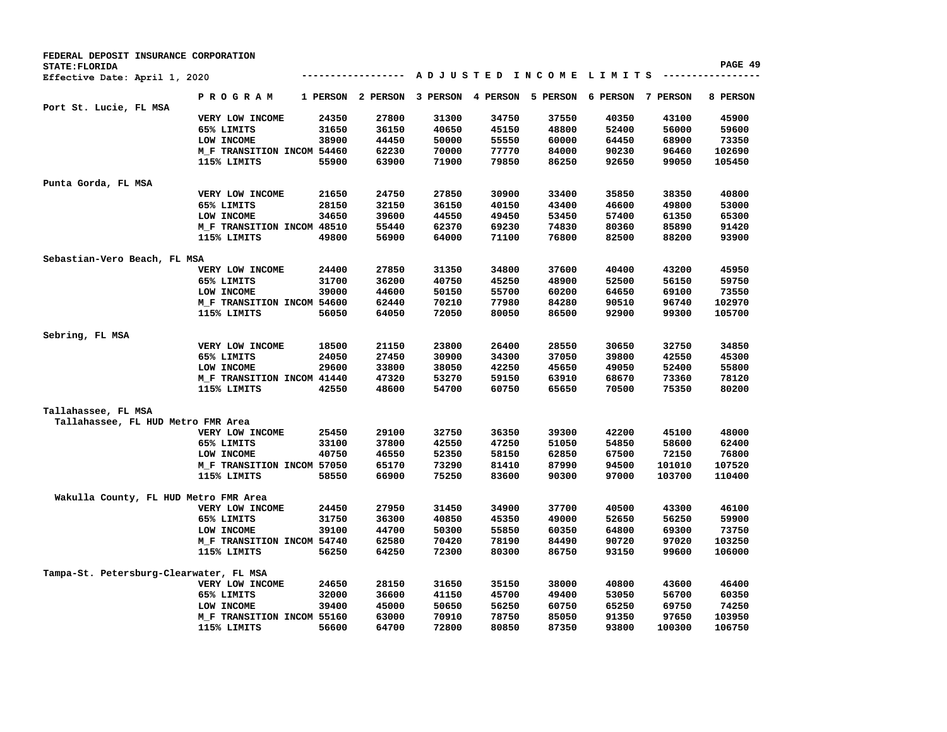| FEDERAL DEPOSIT INSURANCE CORPORATION   |                            |       |                   |          |                |                        |          |          |                  |
|-----------------------------------------|----------------------------|-------|-------------------|----------|----------------|------------------------|----------|----------|------------------|
| STATE: FLORIDA                          |                            |       |                   |          |                |                        |          |          | PAGE 49          |
| Effective Date: April 1, 2020           |                            |       | ---------------   |          |                | ADJUSTED INCOME LIMITS |          |          |                  |
|                                         | PROGRAM                    |       | 1 PERSON 2 PERSON | 3 PERSON | 4 PERSON       | 5 PERSON               | 6 PERSON | 7 PERSON | 8 PERSON         |
| Port St. Lucie, FL MSA                  | VERY LOW INCOME            | 24350 | 27800             | 31300    | 34750          | 37550                  | 40350    | 43100    | 45900            |
|                                         | 65% LIMITS                 | 31650 | 36150             | 40650    | 45150          | 48800                  | 52400    | 56000    | 59600            |
|                                         | LOW INCOME                 | 38900 | 44450             | 50000    | 55550          | 60000                  | 64450    | 68900    | 73350            |
|                                         | M_F TRANSITION INCOM 54460 |       | 62230             | 70000    | 77770          | 84000                  | 90230    | 96460    | 102690           |
|                                         | 115% LIMITS                | 55900 | 63900             | 71900    | 79850          | 86250                  | 92650    | 99050    | 105450           |
|                                         |                            |       |                   |          |                |                        |          |          |                  |
| Punta Gorda, FL MSA                     |                            |       |                   |          |                |                        |          |          |                  |
|                                         | VERY LOW INCOME            | 21650 | 24750             | 27850    | 30900          | 33400                  | 35850    | 38350    | 40800            |
|                                         | 65% LIMITS                 | 28150 | 32150             | 36150    | 40150          | 43400                  | 46600    | 49800    | 53000            |
|                                         | LOW INCOME                 | 34650 | 39600             | 44550    | 49450          | 53450                  | 57400    | 61350    | 65300            |
|                                         | M_F TRANSITION INCOM 48510 |       | 55440             | 62370    | 69230          | 74830                  | 80360    | 85890    | 91420            |
|                                         | 115% LIMITS                | 49800 | 56900             | 64000    | 71100          | 76800                  | 82500    | 88200    | 93900            |
|                                         |                            |       |                   |          |                |                        |          |          |                  |
| Sebastian-Vero Beach, FL MSA            |                            |       |                   |          |                |                        |          |          |                  |
|                                         | VERY LOW INCOME            | 24400 | 27850             | 31350    | 34800          | 37600                  | 40400    | 43200    | 45950            |
|                                         | 65% LIMITS                 | 31700 | 36200             | 40750    | 45250          | 48900                  | 52500    | 56150    | 59750            |
|                                         | LOW INCOME                 | 39000 | 44600             | 50150    | 55700          | 60200                  | 64650    | 69100    | 73550            |
|                                         | M F TRANSITION INCOM 54600 |       | 62440             | 70210    | 77980          | 84280                  | 90510    | 96740    | 102970           |
|                                         | 115% LIMITS                | 56050 | 64050             | 72050    | 80050          | 86500                  | 92900    | 99300    | 105700           |
|                                         |                            |       |                   |          |                |                        |          |          |                  |
| Sebring, FL MSA                         |                            |       |                   |          |                |                        |          |          |                  |
|                                         | VERY LOW INCOME            | 18500 | 21150             | 23800    | 26400          | 28550                  | 30650    | 32750    | 34850            |
|                                         | 65% LIMITS                 | 24050 | 27450             | 30900    | 34300          | 37050                  | 39800    | 42550    | 45300            |
|                                         | LOW INCOME                 | 29600 | 33800             | 38050    | 42250          | 45650                  | 49050    | 52400    | 55800            |
|                                         | M_F TRANSITION INCOM 41440 |       | 47320             | 53270    | 59150          | 63910                  | 68670    | 73360    | 78120            |
|                                         | 115% LIMITS                | 42550 | 48600             | 54700    | 60750          | 65650                  | 70500    | 75350    | 80200            |
|                                         |                            |       |                   |          |                |                        |          |          |                  |
| Tallahassee, FL MSA                     |                            |       |                   |          |                |                        |          |          |                  |
| Tallahassee, FL HUD Metro FMR Area      |                            |       |                   |          |                |                        |          |          |                  |
|                                         | VERY LOW INCOME            | 25450 | 29100             | 32750    | 36350          | 39300                  | 42200    | 45100    | 48000            |
|                                         | 65% LIMITS                 | 33100 | 37800             | 42550    | 47250          | 51050                  | 54850    | 58600    | 62400            |
|                                         | LOW INCOME                 | 40750 | 46550             | 52350    | 58150          | 62850                  | 67500    | 72150    | 76800            |
|                                         | M_F TRANSITION INCOM 57050 |       | 65170             | 73290    | 81410          | 87990                  | 94500    | 101010   | 107520           |
|                                         | 115% LIMITS                | 58550 | 66900             | 75250    | 83600          | 90300                  | 97000    | 103700   | 110400           |
|                                         |                            |       |                   |          |                |                        |          |          |                  |
| Wakulla County, FL HUD Metro FMR Area   |                            |       |                   |          |                |                        |          |          |                  |
|                                         | VERY LOW INCOME            | 24450 | 27950             | 31450    | 34900          | 37700                  | 40500    | 43300    | 46100            |
|                                         | 65% LIMITS                 | 31750 | 36300             | 40850    | 45350          | 49000                  | 52650    | 56250    | 59900            |
|                                         | LOW INCOME                 | 39100 | 44700             | 50300    | 55850          | 60350                  | 64800    | 69300    | 73750            |
|                                         | M_F TRANSITION INCOM 54740 |       | 62580             | 70420    | 78190          | 84490                  | 90720    | 97020    | 103250           |
|                                         | 115% LIMITS                | 56250 | 64250             | 72300    | 80300          | 86750                  | 93150    | 99600    | 106000           |
|                                         |                            |       |                   |          |                |                        |          |          |                  |
| Tampa-St. Petersburg-Clearwater, FL MSA |                            |       |                   |          |                |                        |          |          |                  |
|                                         | VERY LOW INCOME            | 24650 | 28150             | 31650    | 35150          | 38000                  | 40800    | 43600    | 46400            |
|                                         | 65% LIMITS                 | 32000 | 36600             | 41150    | 45700          | 49400                  | 53050    | 56700    | 60350            |
|                                         | LOW INCOME                 | 39400 | 45000             | 50650    | 56250          | 60750                  | 65250    | 69750    | 74250            |
|                                         | M_F TRANSITION INCOM 55160 |       | 63000<br>64700    | 70910    | 78750<br>80850 | 85050                  | 91350    | 97650    | 103950<br>106750 |
|                                         | 115% LIMITS                | 56600 |                   | 72800    |                | 87350                  | 93800    | 100300   |                  |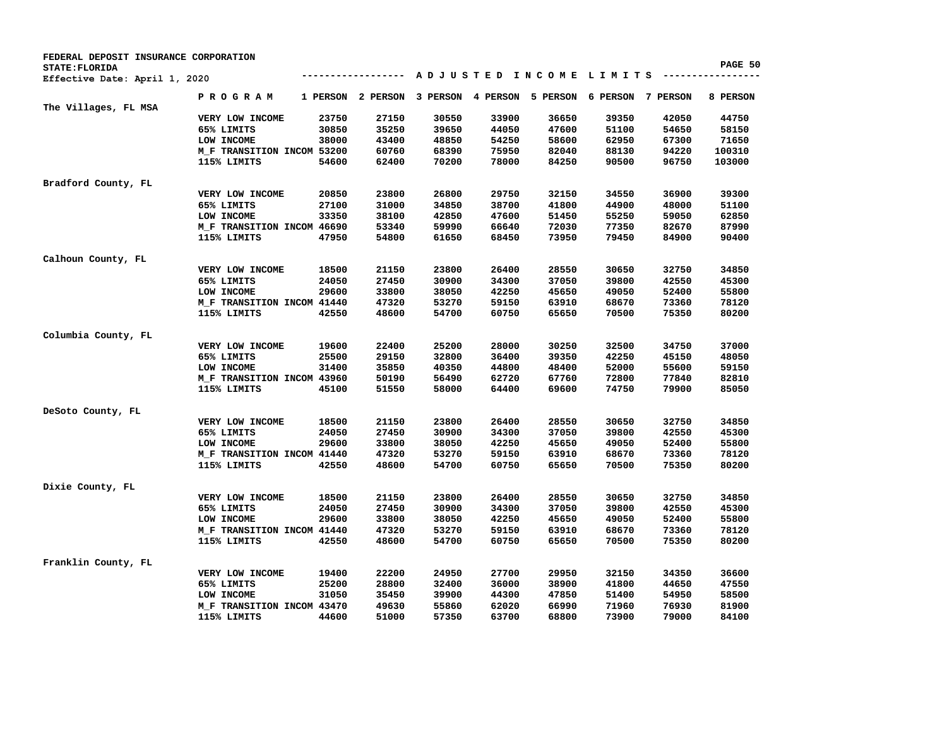| PAGE 50<br>STATE: FLORIDA<br>ADJUSTED INCOME LIMITS --------<br>Effective Date: April 1, 2020<br>P R O G R A M<br>5 PERSON 6 PERSON 7 PERSON<br>1 PERSON 2 PERSON<br>3 PERSON 4 PERSON<br>8 PERSON<br>The Villages, FL MSA<br>23750<br>27150<br>30550<br>33900<br>36650<br>39350<br>42050<br>44750<br>VERY LOW INCOME<br>30850<br>35250<br>39650<br>44050<br>47600<br>51100<br>54650<br>58150<br>65% LIMITS<br>LOW INCOME<br>38000<br>48850<br>54250<br>58600<br>62950<br>67300<br>71650<br>43400<br>75950<br>94220<br>M_F TRANSITION INCOM 53200<br>60760<br>68390<br>82040<br>88130<br>100310<br>78000<br>115% LIMITS<br>54600<br>62400<br>70200<br>84250<br>90500<br>96750<br>103000<br>Bradford County, FL<br>20850<br>23800<br>26800<br>29750<br>32150<br>36900<br>39300<br>VERY LOW INCOME<br>34550<br>38700<br>65% LIMITS<br>27100<br>31000<br>34850<br>41800<br>44900<br>48000<br>51100<br>62850<br>LOW INCOME<br>33350<br>38100<br>42850<br>47600<br>51450<br>55250<br>59050<br>M_F TRANSITION INCOM 46690<br>53340<br>59990<br>66640<br>72030<br>77350<br>82670<br>87990<br>115% LIMITS<br>47950<br>54800<br>61650<br>68450<br>73950<br>79450<br>84900<br>90400<br>Calhoun County, FL<br>21150<br>23800<br>26400<br>28550<br>34850<br>VERY LOW INCOME<br>18500<br>30650<br>32750<br>24050<br>27450<br>30900<br>34300<br>37050<br>39800<br>42550<br>45300<br>65% LIMITS<br>42250<br>LOW INCOME<br>29600<br>33800<br>38050<br>45650<br>49050<br>52400<br>55800<br>47320<br>53270<br>59150<br>63910<br>68670<br>78120<br>M_F TRANSITION INCOM 41440<br>73360<br>115% LIMITS<br>42550<br>48600<br>54700<br>60750<br>65650<br>70500<br>75350<br>80200<br>Columbia County, FL<br>VERY LOW INCOME<br>19600<br>22400<br>25200<br>28000<br>30250<br>32500<br>34750<br>37000<br>65% LIMITS<br>25500<br>29150<br>32800<br>36400<br>39350<br>42250<br>48050<br>45150<br>LOW INCOME<br>35850<br>40350<br>44800<br>48400<br>52000<br>59150<br>31400<br>55600<br>62720<br>82810<br>M_F TRANSITION INCOM 43960<br>50190<br>56490<br>67760<br>72800<br>77840<br>115% LIMITS<br>45100<br>51550<br>58000<br>64400<br>69600<br>74750<br>79900<br>85050<br>DeSoto County, FL<br>23800<br>26400<br>28550<br>34850<br>VERY LOW INCOME<br>18500<br>21150<br>30650<br>32750<br>24050<br>27450<br>30900<br>34300<br>42550<br>45300<br>65% LIMITS<br>37050<br>39800 |
|----------------------------------------------------------------------------------------------------------------------------------------------------------------------------------------------------------------------------------------------------------------------------------------------------------------------------------------------------------------------------------------------------------------------------------------------------------------------------------------------------------------------------------------------------------------------------------------------------------------------------------------------------------------------------------------------------------------------------------------------------------------------------------------------------------------------------------------------------------------------------------------------------------------------------------------------------------------------------------------------------------------------------------------------------------------------------------------------------------------------------------------------------------------------------------------------------------------------------------------------------------------------------------------------------------------------------------------------------------------------------------------------------------------------------------------------------------------------------------------------------------------------------------------------------------------------------------------------------------------------------------------------------------------------------------------------------------------------------------------------------------------------------------------------------------------------------------------------------------------------------------------------------------------------------------------------------------------------------------------------------------------------------------------------------------------------------------------------------------------------------------------------------------------------------------------------------------------------------------------------------------------------------------------------------------------------------------------------------|
|                                                                                                                                                                                                                                                                                                                                                                                                                                                                                                                                                                                                                                                                                                                                                                                                                                                                                                                                                                                                                                                                                                                                                                                                                                                                                                                                                                                                                                                                                                                                                                                                                                                                                                                                                                                                                                                                                                                                                                                                                                                                                                                                                                                                                                                                                                                                                    |
|                                                                                                                                                                                                                                                                                                                                                                                                                                                                                                                                                                                                                                                                                                                                                                                                                                                                                                                                                                                                                                                                                                                                                                                                                                                                                                                                                                                                                                                                                                                                                                                                                                                                                                                                                                                                                                                                                                                                                                                                                                                                                                                                                                                                                                                                                                                                                    |
|                                                                                                                                                                                                                                                                                                                                                                                                                                                                                                                                                                                                                                                                                                                                                                                                                                                                                                                                                                                                                                                                                                                                                                                                                                                                                                                                                                                                                                                                                                                                                                                                                                                                                                                                                                                                                                                                                                                                                                                                                                                                                                                                                                                                                                                                                                                                                    |
|                                                                                                                                                                                                                                                                                                                                                                                                                                                                                                                                                                                                                                                                                                                                                                                                                                                                                                                                                                                                                                                                                                                                                                                                                                                                                                                                                                                                                                                                                                                                                                                                                                                                                                                                                                                                                                                                                                                                                                                                                                                                                                                                                                                                                                                                                                                                                    |
|                                                                                                                                                                                                                                                                                                                                                                                                                                                                                                                                                                                                                                                                                                                                                                                                                                                                                                                                                                                                                                                                                                                                                                                                                                                                                                                                                                                                                                                                                                                                                                                                                                                                                                                                                                                                                                                                                                                                                                                                                                                                                                                                                                                                                                                                                                                                                    |
|                                                                                                                                                                                                                                                                                                                                                                                                                                                                                                                                                                                                                                                                                                                                                                                                                                                                                                                                                                                                                                                                                                                                                                                                                                                                                                                                                                                                                                                                                                                                                                                                                                                                                                                                                                                                                                                                                                                                                                                                                                                                                                                                                                                                                                                                                                                                                    |
|                                                                                                                                                                                                                                                                                                                                                                                                                                                                                                                                                                                                                                                                                                                                                                                                                                                                                                                                                                                                                                                                                                                                                                                                                                                                                                                                                                                                                                                                                                                                                                                                                                                                                                                                                                                                                                                                                                                                                                                                                                                                                                                                                                                                                                                                                                                                                    |
|                                                                                                                                                                                                                                                                                                                                                                                                                                                                                                                                                                                                                                                                                                                                                                                                                                                                                                                                                                                                                                                                                                                                                                                                                                                                                                                                                                                                                                                                                                                                                                                                                                                                                                                                                                                                                                                                                                                                                                                                                                                                                                                                                                                                                                                                                                                                                    |
|                                                                                                                                                                                                                                                                                                                                                                                                                                                                                                                                                                                                                                                                                                                                                                                                                                                                                                                                                                                                                                                                                                                                                                                                                                                                                                                                                                                                                                                                                                                                                                                                                                                                                                                                                                                                                                                                                                                                                                                                                                                                                                                                                                                                                                                                                                                                                    |
|                                                                                                                                                                                                                                                                                                                                                                                                                                                                                                                                                                                                                                                                                                                                                                                                                                                                                                                                                                                                                                                                                                                                                                                                                                                                                                                                                                                                                                                                                                                                                                                                                                                                                                                                                                                                                                                                                                                                                                                                                                                                                                                                                                                                                                                                                                                                                    |
|                                                                                                                                                                                                                                                                                                                                                                                                                                                                                                                                                                                                                                                                                                                                                                                                                                                                                                                                                                                                                                                                                                                                                                                                                                                                                                                                                                                                                                                                                                                                                                                                                                                                                                                                                                                                                                                                                                                                                                                                                                                                                                                                                                                                                                                                                                                                                    |
|                                                                                                                                                                                                                                                                                                                                                                                                                                                                                                                                                                                                                                                                                                                                                                                                                                                                                                                                                                                                                                                                                                                                                                                                                                                                                                                                                                                                                                                                                                                                                                                                                                                                                                                                                                                                                                                                                                                                                                                                                                                                                                                                                                                                                                                                                                                                                    |
|                                                                                                                                                                                                                                                                                                                                                                                                                                                                                                                                                                                                                                                                                                                                                                                                                                                                                                                                                                                                                                                                                                                                                                                                                                                                                                                                                                                                                                                                                                                                                                                                                                                                                                                                                                                                                                                                                                                                                                                                                                                                                                                                                                                                                                                                                                                                                    |
|                                                                                                                                                                                                                                                                                                                                                                                                                                                                                                                                                                                                                                                                                                                                                                                                                                                                                                                                                                                                                                                                                                                                                                                                                                                                                                                                                                                                                                                                                                                                                                                                                                                                                                                                                                                                                                                                                                                                                                                                                                                                                                                                                                                                                                                                                                                                                    |
|                                                                                                                                                                                                                                                                                                                                                                                                                                                                                                                                                                                                                                                                                                                                                                                                                                                                                                                                                                                                                                                                                                                                                                                                                                                                                                                                                                                                                                                                                                                                                                                                                                                                                                                                                                                                                                                                                                                                                                                                                                                                                                                                                                                                                                                                                                                                                    |
|                                                                                                                                                                                                                                                                                                                                                                                                                                                                                                                                                                                                                                                                                                                                                                                                                                                                                                                                                                                                                                                                                                                                                                                                                                                                                                                                                                                                                                                                                                                                                                                                                                                                                                                                                                                                                                                                                                                                                                                                                                                                                                                                                                                                                                                                                                                                                    |
|                                                                                                                                                                                                                                                                                                                                                                                                                                                                                                                                                                                                                                                                                                                                                                                                                                                                                                                                                                                                                                                                                                                                                                                                                                                                                                                                                                                                                                                                                                                                                                                                                                                                                                                                                                                                                                                                                                                                                                                                                                                                                                                                                                                                                                                                                                                                                    |
|                                                                                                                                                                                                                                                                                                                                                                                                                                                                                                                                                                                                                                                                                                                                                                                                                                                                                                                                                                                                                                                                                                                                                                                                                                                                                                                                                                                                                                                                                                                                                                                                                                                                                                                                                                                                                                                                                                                                                                                                                                                                                                                                                                                                                                                                                                                                                    |
|                                                                                                                                                                                                                                                                                                                                                                                                                                                                                                                                                                                                                                                                                                                                                                                                                                                                                                                                                                                                                                                                                                                                                                                                                                                                                                                                                                                                                                                                                                                                                                                                                                                                                                                                                                                                                                                                                                                                                                                                                                                                                                                                                                                                                                                                                                                                                    |
|                                                                                                                                                                                                                                                                                                                                                                                                                                                                                                                                                                                                                                                                                                                                                                                                                                                                                                                                                                                                                                                                                                                                                                                                                                                                                                                                                                                                                                                                                                                                                                                                                                                                                                                                                                                                                                                                                                                                                                                                                                                                                                                                                                                                                                                                                                                                                    |
|                                                                                                                                                                                                                                                                                                                                                                                                                                                                                                                                                                                                                                                                                                                                                                                                                                                                                                                                                                                                                                                                                                                                                                                                                                                                                                                                                                                                                                                                                                                                                                                                                                                                                                                                                                                                                                                                                                                                                                                                                                                                                                                                                                                                                                                                                                                                                    |
|                                                                                                                                                                                                                                                                                                                                                                                                                                                                                                                                                                                                                                                                                                                                                                                                                                                                                                                                                                                                                                                                                                                                                                                                                                                                                                                                                                                                                                                                                                                                                                                                                                                                                                                                                                                                                                                                                                                                                                                                                                                                                                                                                                                                                                                                                                                                                    |
|                                                                                                                                                                                                                                                                                                                                                                                                                                                                                                                                                                                                                                                                                                                                                                                                                                                                                                                                                                                                                                                                                                                                                                                                                                                                                                                                                                                                                                                                                                                                                                                                                                                                                                                                                                                                                                                                                                                                                                                                                                                                                                                                                                                                                                                                                                                                                    |
|                                                                                                                                                                                                                                                                                                                                                                                                                                                                                                                                                                                                                                                                                                                                                                                                                                                                                                                                                                                                                                                                                                                                                                                                                                                                                                                                                                                                                                                                                                                                                                                                                                                                                                                                                                                                                                                                                                                                                                                                                                                                                                                                                                                                                                                                                                                                                    |
|                                                                                                                                                                                                                                                                                                                                                                                                                                                                                                                                                                                                                                                                                                                                                                                                                                                                                                                                                                                                                                                                                                                                                                                                                                                                                                                                                                                                                                                                                                                                                                                                                                                                                                                                                                                                                                                                                                                                                                                                                                                                                                                                                                                                                                                                                                                                                    |
|                                                                                                                                                                                                                                                                                                                                                                                                                                                                                                                                                                                                                                                                                                                                                                                                                                                                                                                                                                                                                                                                                                                                                                                                                                                                                                                                                                                                                                                                                                                                                                                                                                                                                                                                                                                                                                                                                                                                                                                                                                                                                                                                                                                                                                                                                                                                                    |
|                                                                                                                                                                                                                                                                                                                                                                                                                                                                                                                                                                                                                                                                                                                                                                                                                                                                                                                                                                                                                                                                                                                                                                                                                                                                                                                                                                                                                                                                                                                                                                                                                                                                                                                                                                                                                                                                                                                                                                                                                                                                                                                                                                                                                                                                                                                                                    |
|                                                                                                                                                                                                                                                                                                                                                                                                                                                                                                                                                                                                                                                                                                                                                                                                                                                                                                                                                                                                                                                                                                                                                                                                                                                                                                                                                                                                                                                                                                                                                                                                                                                                                                                                                                                                                                                                                                                                                                                                                                                                                                                                                                                                                                                                                                                                                    |
|                                                                                                                                                                                                                                                                                                                                                                                                                                                                                                                                                                                                                                                                                                                                                                                                                                                                                                                                                                                                                                                                                                                                                                                                                                                                                                                                                                                                                                                                                                                                                                                                                                                                                                                                                                                                                                                                                                                                                                                                                                                                                                                                                                                                                                                                                                                                                    |
|                                                                                                                                                                                                                                                                                                                                                                                                                                                                                                                                                                                                                                                                                                                                                                                                                                                                                                                                                                                                                                                                                                                                                                                                                                                                                                                                                                                                                                                                                                                                                                                                                                                                                                                                                                                                                                                                                                                                                                                                                                                                                                                                                                                                                                                                                                                                                    |
|                                                                                                                                                                                                                                                                                                                                                                                                                                                                                                                                                                                                                                                                                                                                                                                                                                                                                                                                                                                                                                                                                                                                                                                                                                                                                                                                                                                                                                                                                                                                                                                                                                                                                                                                                                                                                                                                                                                                                                                                                                                                                                                                                                                                                                                                                                                                                    |
|                                                                                                                                                                                                                                                                                                                                                                                                                                                                                                                                                                                                                                                                                                                                                                                                                                                                                                                                                                                                                                                                                                                                                                                                                                                                                                                                                                                                                                                                                                                                                                                                                                                                                                                                                                                                                                                                                                                                                                                                                                                                                                                                                                                                                                                                                                                                                    |
| LOW INCOME<br>29600<br>33800<br>38050<br>42250<br>45650<br>49050<br>52400<br>55800                                                                                                                                                                                                                                                                                                                                                                                                                                                                                                                                                                                                                                                                                                                                                                                                                                                                                                                                                                                                                                                                                                                                                                                                                                                                                                                                                                                                                                                                                                                                                                                                                                                                                                                                                                                                                                                                                                                                                                                                                                                                                                                                                                                                                                                                 |
| 53270<br>59150<br>78120<br>M_F TRANSITION INCOM 41440<br>47320<br>63910<br>68670<br>73360                                                                                                                                                                                                                                                                                                                                                                                                                                                                                                                                                                                                                                                                                                                                                                                                                                                                                                                                                                                                                                                                                                                                                                                                                                                                                                                                                                                                                                                                                                                                                                                                                                                                                                                                                                                                                                                                                                                                                                                                                                                                                                                                                                                                                                                          |
| 42550<br>48600<br>54700<br>60750<br>65650<br>70500<br>75350<br>80200<br>115% LIMITS                                                                                                                                                                                                                                                                                                                                                                                                                                                                                                                                                                                                                                                                                                                                                                                                                                                                                                                                                                                                                                                                                                                                                                                                                                                                                                                                                                                                                                                                                                                                                                                                                                                                                                                                                                                                                                                                                                                                                                                                                                                                                                                                                                                                                                                                |
|                                                                                                                                                                                                                                                                                                                                                                                                                                                                                                                                                                                                                                                                                                                                                                                                                                                                                                                                                                                                                                                                                                                                                                                                                                                                                                                                                                                                                                                                                                                                                                                                                                                                                                                                                                                                                                                                                                                                                                                                                                                                                                                                                                                                                                                                                                                                                    |
| Dixie County, FL                                                                                                                                                                                                                                                                                                                                                                                                                                                                                                                                                                                                                                                                                                                                                                                                                                                                                                                                                                                                                                                                                                                                                                                                                                                                                                                                                                                                                                                                                                                                                                                                                                                                                                                                                                                                                                                                                                                                                                                                                                                                                                                                                                                                                                                                                                                                   |
| 21150<br>23800<br>26400<br>28550<br>VERY LOW INCOME<br>18500<br>30650<br>32750<br>34850                                                                                                                                                                                                                                                                                                                                                                                                                                                                                                                                                                                                                                                                                                                                                                                                                                                                                                                                                                                                                                                                                                                                                                                                                                                                                                                                                                                                                                                                                                                                                                                                                                                                                                                                                                                                                                                                                                                                                                                                                                                                                                                                                                                                                                                            |
| 65% LIMITS<br>24050<br>27450<br>30900<br>34300<br>37050<br>39800<br>42550<br>45300                                                                                                                                                                                                                                                                                                                                                                                                                                                                                                                                                                                                                                                                                                                                                                                                                                                                                                                                                                                                                                                                                                                                                                                                                                                                                                                                                                                                                                                                                                                                                                                                                                                                                                                                                                                                                                                                                                                                                                                                                                                                                                                                                                                                                                                                 |
| LOW INCOME<br>29600<br>33800<br>38050<br>42250<br>45650<br>49050<br>52400<br>55800                                                                                                                                                                                                                                                                                                                                                                                                                                                                                                                                                                                                                                                                                                                                                                                                                                                                                                                                                                                                                                                                                                                                                                                                                                                                                                                                                                                                                                                                                                                                                                                                                                                                                                                                                                                                                                                                                                                                                                                                                                                                                                                                                                                                                                                                 |
| 53270<br>59150<br>78120<br>M_F TRANSITION INCOM 41440<br>47320<br>63910<br>68670<br>73360                                                                                                                                                                                                                                                                                                                                                                                                                                                                                                                                                                                                                                                                                                                                                                                                                                                                                                                                                                                                                                                                                                                                                                                                                                                                                                                                                                                                                                                                                                                                                                                                                                                                                                                                                                                                                                                                                                                                                                                                                                                                                                                                                                                                                                                          |
| 42550<br>48600<br>54700<br>60750<br>70500<br>75350<br>80200<br>115% LIMITS<br>65650                                                                                                                                                                                                                                                                                                                                                                                                                                                                                                                                                                                                                                                                                                                                                                                                                                                                                                                                                                                                                                                                                                                                                                                                                                                                                                                                                                                                                                                                                                                                                                                                                                                                                                                                                                                                                                                                                                                                                                                                                                                                                                                                                                                                                                                                |
| Franklin County, FL                                                                                                                                                                                                                                                                                                                                                                                                                                                                                                                                                                                                                                                                                                                                                                                                                                                                                                                                                                                                                                                                                                                                                                                                                                                                                                                                                                                                                                                                                                                                                                                                                                                                                                                                                                                                                                                                                                                                                                                                                                                                                                                                                                                                                                                                                                                                |
| 22200<br>24950<br>27700<br>29950<br>32150<br>34350<br>36600<br>VERY LOW INCOME<br>19400                                                                                                                                                                                                                                                                                                                                                                                                                                                                                                                                                                                                                                                                                                                                                                                                                                                                                                                                                                                                                                                                                                                                                                                                                                                                                                                                                                                                                                                                                                                                                                                                                                                                                                                                                                                                                                                                                                                                                                                                                                                                                                                                                                                                                                                            |
| 65% LIMITS<br>25200<br>28800<br>32400<br>36000<br>38900<br>41800<br>44650<br>47550                                                                                                                                                                                                                                                                                                                                                                                                                                                                                                                                                                                                                                                                                                                                                                                                                                                                                                                                                                                                                                                                                                                                                                                                                                                                                                                                                                                                                                                                                                                                                                                                                                                                                                                                                                                                                                                                                                                                                                                                                                                                                                                                                                                                                                                                 |
|                                                                                                                                                                                                                                                                                                                                                                                                                                                                                                                                                                                                                                                                                                                                                                                                                                                                                                                                                                                                                                                                                                                                                                                                                                                                                                                                                                                                                                                                                                                                                                                                                                                                                                                                                                                                                                                                                                                                                                                                                                                                                                                                                                                                                                                                                                                                                    |
|                                                                                                                                                                                                                                                                                                                                                                                                                                                                                                                                                                                                                                                                                                                                                                                                                                                                                                                                                                                                                                                                                                                                                                                                                                                                                                                                                                                                                                                                                                                                                                                                                                                                                                                                                                                                                                                                                                                                                                                                                                                                                                                                                                                                                                                                                                                                                    |
| LOW INCOME<br>31050<br>35450<br>39900<br>44300<br>47850<br>54950<br>58500<br>51400<br>M_F TRANSITION INCOM 43470<br>49630<br>55860<br>62020<br>66990<br>71960<br>76930<br>81900                                                                                                                                                                                                                                                                                                                                                                                                                                                                                                                                                                                                                                                                                                                                                                                                                                                                                                                                                                                                                                                                                                                                                                                                                                                                                                                                                                                                                                                                                                                                                                                                                                                                                                                                                                                                                                                                                                                                                                                                                                                                                                                                                                    |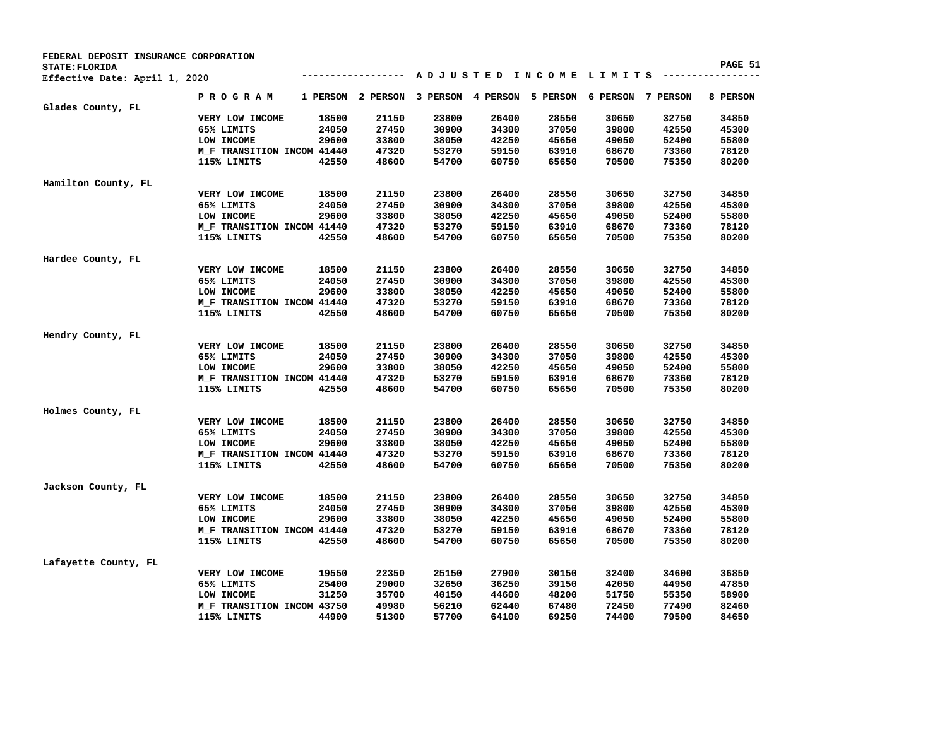| FEDERAL DEPOSIT INSURANCE CORPORATION |                            |       |                   |       |       |                            |                                         |       |          |
|---------------------------------------|----------------------------|-------|-------------------|-------|-------|----------------------------|-----------------------------------------|-------|----------|
| STATE: FLORIDA                        |                            |       |                   |       |       |                            | A D J U S T E D I N C O M E L I M I T S |       | PAGE 51  |
| Effective Date: April 1, 2020         |                            |       |                   |       |       |                            |                                         |       |          |
|                                       | PROGRAM                    |       | 1 PERSON 2 PERSON |       |       | 3 PERSON 4 PERSON 5 PERSON | 6 PERSON 7 PERSON                       |       | 8 PERSON |
| Glades County, FL                     |                            |       |                   |       |       |                            |                                         |       |          |
|                                       | VERY LOW INCOME            | 18500 | 21150             | 23800 | 26400 | 28550                      | 30650                                   | 32750 | 34850    |
|                                       | 65% LIMITS                 | 24050 | 27450             | 30900 | 34300 | 37050                      | 39800                                   | 42550 | 45300    |
|                                       | LOW INCOME                 | 29600 | 33800             | 38050 | 42250 | 45650                      | 49050                                   | 52400 | 55800    |
|                                       | M_F TRANSITION INCOM 41440 |       | 47320             | 53270 | 59150 | 63910                      | 68670                                   | 73360 | 78120    |
|                                       | 115% LIMITS                | 42550 | 48600             | 54700 | 60750 | 65650                      | 70500                                   | 75350 | 80200    |
| Hamilton County, FL                   |                            |       |                   |       |       |                            |                                         |       |          |
|                                       | VERY LOW INCOME            | 18500 | 21150             | 23800 | 26400 | 28550                      | 30650                                   | 32750 | 34850    |
|                                       | 65% LIMITS                 | 24050 | 27450             | 30900 | 34300 | 37050                      | 39800                                   | 42550 | 45300    |
|                                       | LOW INCOME                 | 29600 | 33800             | 38050 | 42250 | 45650                      | 49050                                   | 52400 | 55800    |
|                                       | M_F TRANSITION INCOM 41440 |       | 47320             | 53270 | 59150 | 63910                      | 68670                                   | 73360 | 78120    |
|                                       | 115% LIMITS                | 42550 | 48600             | 54700 | 60750 | 65650                      | 70500                                   | 75350 | 80200    |
|                                       |                            |       |                   |       |       |                            |                                         |       |          |
| Hardee County, FL                     | VERY LOW INCOME            | 18500 | 21150             | 23800 | 26400 | 28550                      | 30650                                   | 32750 | 34850    |
|                                       | 65% LIMITS                 | 24050 | 27450             | 30900 | 34300 | 37050                      | 39800                                   | 42550 | 45300    |
|                                       | LOW INCOME                 | 29600 | 33800             | 38050 | 42250 | 45650                      | 49050                                   | 52400 | 55800    |
|                                       |                            |       | 47320             | 53270 | 59150 | 63910                      | 68670                                   | 73360 | 78120    |
|                                       | M_F TRANSITION INCOM 41440 |       |                   |       |       |                            |                                         |       |          |
|                                       | 115% LIMITS                | 42550 | 48600             | 54700 | 60750 | 65650                      | 70500                                   | 75350 | 80200    |
| Hendry County, FL                     |                            |       |                   |       |       |                            |                                         |       |          |
|                                       | VERY LOW INCOME            | 18500 | 21150             | 23800 | 26400 | 28550                      | 30650                                   | 32750 | 34850    |
|                                       | 65% LIMITS                 | 24050 | 27450             | 30900 | 34300 | 37050                      | 39800                                   | 42550 | 45300    |
|                                       | LOW INCOME                 | 29600 | 33800             | 38050 | 42250 | 45650                      | 49050                                   | 52400 | 55800    |
|                                       | M_F TRANSITION INCOM 41440 |       | 47320             | 53270 | 59150 | 63910                      | 68670                                   | 73360 | 78120    |
|                                       | 115% LIMITS                | 42550 | 48600             | 54700 | 60750 | 65650                      | 70500                                   | 75350 | 80200    |
|                                       |                            |       |                   |       |       |                            |                                         |       |          |
| Holmes County, FL                     |                            |       |                   |       |       |                            |                                         |       |          |
|                                       | VERY LOW INCOME            | 18500 | 21150             | 23800 | 26400 | 28550                      | 30650                                   | 32750 | 34850    |
|                                       | 65% LIMITS                 | 24050 | 27450             | 30900 | 34300 | 37050                      | 39800                                   | 42550 | 45300    |
|                                       | LOW INCOME                 | 29600 | 33800             | 38050 | 42250 | 45650                      | 49050                                   | 52400 | 55800    |
|                                       | M_F TRANSITION INCOM 41440 |       | 47320             | 53270 | 59150 | 63910                      | 68670                                   | 73360 | 78120    |
|                                       | 115% LIMITS                | 42550 | 48600             | 54700 | 60750 | 65650                      | 70500                                   | 75350 | 80200    |
| Jackson County, FL                    |                            |       |                   |       |       |                            |                                         |       |          |
|                                       | VERY LOW INCOME            | 18500 | 21150             | 23800 | 26400 | 28550                      | 30650                                   | 32750 | 34850    |
|                                       | 65% LIMITS                 | 24050 | 27450             | 30900 | 34300 | 37050                      | 39800                                   | 42550 | 45300    |
|                                       | LOW INCOME                 | 29600 | 33800             | 38050 | 42250 | 45650                      | 49050                                   | 52400 | 55800    |
|                                       | M_F TRANSITION INCOM 41440 |       | 47320             | 53270 | 59150 | 63910                      | 68670                                   | 73360 | 78120    |
|                                       | 115% LIMITS                | 42550 | 48600             | 54700 | 60750 | 65650                      | 70500                                   | 75350 | 80200    |
| Lafayette County, FL                  |                            |       |                   |       |       |                            |                                         |       |          |
|                                       | VERY LOW INCOME            | 19550 | 22350             | 25150 | 27900 | 30150                      | 32400                                   | 34600 | 36850    |
|                                       | 65% LIMITS                 | 25400 | 29000             | 32650 | 36250 | 39150                      | 42050                                   | 44950 | 47850    |
|                                       | LOW INCOME                 | 31250 | 35700             | 40150 | 44600 | 48200                      | 51750                                   | 55350 | 58900    |
|                                       | M_F TRANSITION INCOM 43750 |       | 49980             | 56210 | 62440 | 67480                      | 72450                                   | 77490 | 82460    |
|                                       | 115% LIMITS                | 44900 | 51300             | 57700 | 64100 | 69250                      | 74400                                   | 79500 | 84650    |
|                                       |                            |       |                   |       |       |                            |                                         |       |          |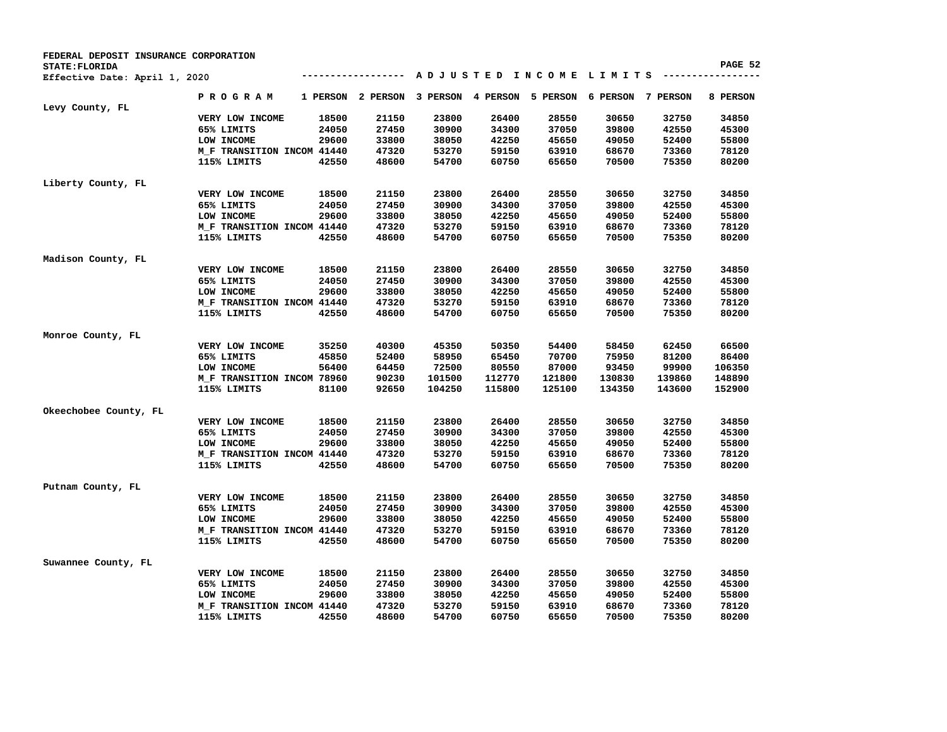| FEDERAL DEPOSIT INSURANCE CORPORATION |                            |          |          |          |          |          |                                |        |          |
|---------------------------------------|----------------------------|----------|----------|----------|----------|----------|--------------------------------|--------|----------|
| STATE: FLORIDA                        |                            |          |          |          |          |          |                                |        | PAGE 52  |
| Effective Date: April 1, 2020         |                            |          |          |          |          |          | ADJUSTED INCOME LIMITS ------- |        |          |
|                                       | <b>PROGRAM</b>             | 1 PERSON | 2 PERSON | 3 PERSON | 4 PERSON | 5 PERSON | 6 PERSON 7 PERSON              |        | 8 PERSON |
| Levy County, FL                       |                            |          |          |          |          |          |                                |        |          |
|                                       | VERY LOW INCOME            | 18500    | 21150    | 23800    | 26400    | 28550    | 30650                          | 32750  | 34850    |
|                                       | 65% LIMITS                 | 24050    | 27450    | 30900    | 34300    | 37050    | 39800                          | 42550  | 45300    |
|                                       | LOW INCOME                 | 29600    | 33800    | 38050    | 42250    | 45650    | 49050                          | 52400  | 55800    |
|                                       | M_F TRANSITION INCOM 41440 |          | 47320    | 53270    | 59150    | 63910    | 68670                          | 73360  | 78120    |
|                                       | 115% LIMITS                | 42550    | 48600    | 54700    | 60750    | 65650    | 70500                          | 75350  | 80200    |
| Liberty County, FL                    |                            |          |          |          |          |          |                                |        |          |
|                                       | VERY LOW INCOME            | 18500    | 21150    | 23800    | 26400    | 28550    | 30650                          | 32750  | 34850    |
|                                       | 65% LIMITS                 | 24050    | 27450    | 30900    | 34300    | 37050    | 39800                          | 42550  | 45300    |
|                                       | LOW INCOME                 | 29600    | 33800    | 38050    | 42250    | 45650    | 49050                          | 52400  | 55800    |
|                                       | M_F TRANSITION INCOM 41440 |          | 47320    | 53270    | 59150    | 63910    | 68670                          | 73360  | 78120    |
|                                       | 115% LIMITS                | 42550    | 48600    | 54700    | 60750    | 65650    | 70500                          | 75350  | 80200    |
|                                       |                            |          |          |          |          |          |                                |        |          |
| Madison County, FL                    | VERY LOW INCOME            | 18500    | 21150    | 23800    | 26400    | 28550    | 30650                          | 32750  | 34850    |
|                                       | 65% LIMITS                 | 24050    | 27450    | 30900    | 34300    | 37050    | 39800                          | 42550  | 45300    |
|                                       |                            |          |          |          |          |          |                                |        |          |
|                                       | LOW INCOME                 | 29600    | 33800    | 38050    | 42250    | 45650    | 49050                          | 52400  | 55800    |
|                                       | M_F TRANSITION INCOM 41440 |          | 47320    | 53270    | 59150    | 63910    | 68670                          | 73360  | 78120    |
|                                       | 115% LIMITS                | 42550    | 48600    | 54700    | 60750    | 65650    | 70500                          | 75350  | 80200    |
| Monroe County, FL                     |                            |          |          |          |          |          |                                |        |          |
|                                       | VERY LOW INCOME            | 35250    | 40300    | 45350    | 50350    | 54400    | 58450                          | 62450  | 66500    |
|                                       | 65% LIMITS                 | 45850    | 52400    | 58950    | 65450    | 70700    | 75950                          | 81200  | 86400    |
|                                       | LOW INCOME                 | 56400    | 64450    | 72500    | 80550    | 87000    | 93450                          | 99900  | 106350   |
|                                       | M_F TRANSITION INCOM 78960 |          | 90230    | 101500   | 112770   | 121800   | 130830                         | 139860 | 148890   |
|                                       | 115% LIMITS                | 81100    | 92650    | 104250   | 115800   | 125100   | 134350                         | 143600 | 152900   |
| Okeechobee County, FL                 |                            |          |          |          |          |          |                                |        |          |
|                                       | VERY LOW INCOME            | 18500    | 21150    | 23800    | 26400    | 28550    | 30650                          | 32750  | 34850    |
|                                       | 65% LIMITS                 | 24050    | 27450    | 30900    | 34300    | 37050    | 39800                          | 42550  | 45300    |
|                                       | LOW INCOME                 | 29600    | 33800    | 38050    | 42250    | 45650    | 49050                          | 52400  | 55800    |
|                                       | M_F TRANSITION INCOM 41440 |          | 47320    | 53270    | 59150    | 63910    | 68670                          | 73360  | 78120    |
|                                       | 115% LIMITS                | 42550    | 48600    | 54700    | 60750    | 65650    | 70500                          | 75350  | 80200    |
|                                       |                            |          |          |          |          |          |                                |        |          |
| Putnam County, FL                     | VERY LOW INCOME            | 18500    | 21150    | 23800    | 26400    | 28550    | 30650                          | 32750  | 34850    |
|                                       | 65% LIMITS                 | 24050    | 27450    | 30900    | 34300    | 37050    | 39800                          | 42550  | 45300    |
|                                       | LOW INCOME                 | 29600    | 33800    | 38050    | 42250    | 45650    | 49050                          | 52400  | 55800    |
|                                       |                            |          |          |          |          |          |                                |        |          |
|                                       | M_F TRANSITION INCOM 41440 |          | 47320    | 53270    | 59150    | 63910    | 68670                          | 73360  | 78120    |
|                                       | 115% LIMITS                | 42550    | 48600    | 54700    | 60750    | 65650    | 70500                          | 75350  | 80200    |
| Suwannee County, FL                   |                            |          |          |          |          |          |                                |        |          |
|                                       | VERY LOW INCOME            | 18500    | 21150    | 23800    | 26400    | 28550    | 30650                          | 32750  | 34850    |
|                                       | 65% LIMITS                 | 24050    | 27450    | 30900    | 34300    | 37050    | 39800                          | 42550  | 45300    |
|                                       | LOW INCOME                 | 29600    | 33800    | 38050    | 42250    | 45650    | 49050                          | 52400  | 55800    |
|                                       |                            |          |          |          |          |          |                                |        |          |
|                                       | M_F TRANSITION INCOM 41440 |          | 47320    | 53270    | 59150    | 63910    | 68670                          | 73360  | 78120    |